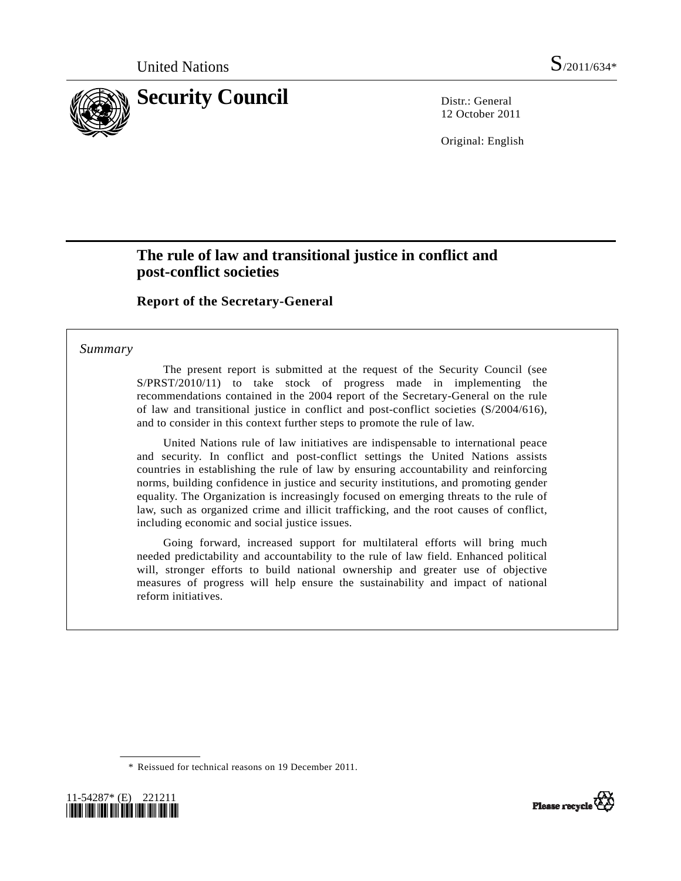

12 October 2011

Original: English

# **The rule of law and transitional justice in conflict and post-conflict societies**

#### **Report of the Secretary-General**

#### *Summary*

 The present report is submitted at the request of the Security Council (see S/PRST/2010/11) to take stock of progress made in implementing the recommendations contained in the 2004 report of the Secretary-General on the rule of law and transitional justice in conflict and post-conflict societies (S/2004/616), and to consider in this context further steps to promote the rule of law.

 United Nations rule of law initiatives are indispensable to international peace and security. In conflict and post-conflict settings the United Nations assists countries in establishing the rule of law by ensuring accountability and reinforcing norms, building confidence in justice and security institutions, and promoting gender equality. The Organization is increasingly focused on emerging threats to the rule of law, such as organized crime and illicit trafficking, and the root causes of conflict, including economic and social justice issues.

 Going forward, increased support for multilateral efforts will bring much needed predictability and accountability to the rule of law field. Enhanced political will, stronger efforts to build national ownership and greater use of objective measures of progress will help ensure the sustainability and impact of national reform initiatives.

 <sup>\*</sup> Reissued for technical reasons on 19 December 2011.



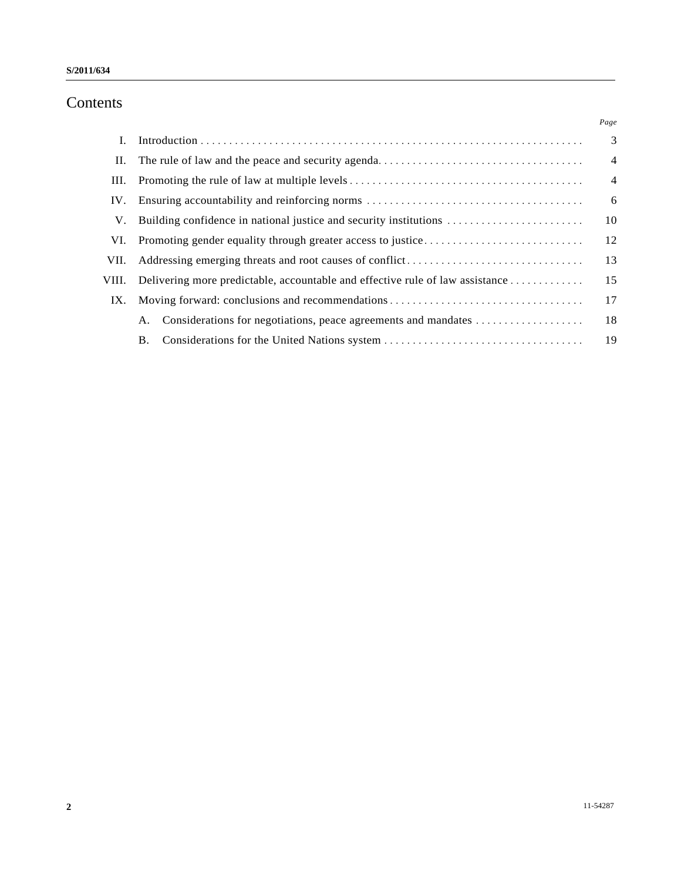# Contents

|       |                                                                               | Page           |
|-------|-------------------------------------------------------------------------------|----------------|
| L     |                                                                               | 3              |
| П.    |                                                                               | $\overline{4}$ |
| Ш.    |                                                                               | $\overline{4}$ |
| IV.   |                                                                               | 6              |
| V.    | Building confidence in national justice and security institutions             | 10             |
| VI.   |                                                                               | 12             |
| VII.  |                                                                               | 13             |
| VIII. | Delivering more predictable, accountable and effective rule of law assistance | 15             |
| IX.   | Moving forward: conclusions and recommendations                               | 17             |
|       | Considerations for negotiations, peace agreements and mandates<br>А.          | 18             |
|       | Β.                                                                            | 19             |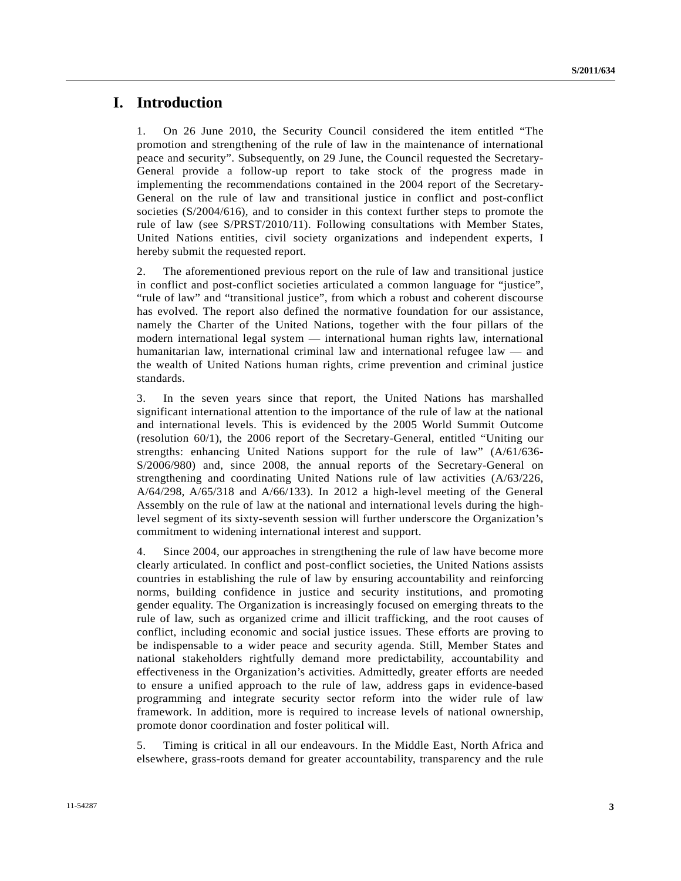#### **I. Introduction**

1. On 26 June 2010, the Security Council considered the item entitled "The promotion and strengthening of the rule of law in the maintenance of international peace and security". Subsequently, on 29 June, the Council requested the Secretary-General provide a follow-up report to take stock of the progress made in implementing the recommendations contained in the 2004 report of the Secretary-General on the rule of law and transitional justice in conflict and post-conflict societies (S/2004/616), and to consider in this context further steps to promote the rule of law (see S/PRST/2010/11). Following consultations with Member States, United Nations entities, civil society organizations and independent experts, I hereby submit the requested report.

2. The aforementioned previous report on the rule of law and transitional justice in conflict and post-conflict societies articulated a common language for "justice", "rule of law" and "transitional justice", from which a robust and coherent discourse has evolved. The report also defined the normative foundation for our assistance, namely the Charter of the United Nations, together with the four pillars of the modern international legal system — international human rights law, international humanitarian law, international criminal law and international refugee law — and the wealth of United Nations human rights, crime prevention and criminal justice standards.

3. In the seven years since that report, the United Nations has marshalled significant international attention to the importance of the rule of law at the national and international levels. This is evidenced by the 2005 World Summit Outcome (resolution 60/1), the 2006 report of the Secretary-General, entitled "Uniting our strengths: enhancing United Nations support for the rule of law" (A/61/636- S/2006/980) and, since 2008, the annual reports of the Secretary-General on strengthening and coordinating United Nations rule of law activities (A/63/226, A/64/298, A/65/318 and A/66/133). In 2012 a high-level meeting of the General Assembly on the rule of law at the national and international levels during the highlevel segment of its sixty-seventh session will further underscore the Organization's commitment to widening international interest and support.

4. Since 2004, our approaches in strengthening the rule of law have become more clearly articulated. In conflict and post-conflict societies, the United Nations assists countries in establishing the rule of law by ensuring accountability and reinforcing norms, building confidence in justice and security institutions, and promoting gender equality. The Organization is increasingly focused on emerging threats to the rule of law, such as organized crime and illicit trafficking, and the root causes of conflict, including economic and social justice issues. These efforts are proving to be indispensable to a wider peace and security agenda. Still, Member States and national stakeholders rightfully demand more predictability, accountability and effectiveness in the Organization's activities. Admittedly, greater efforts are needed to ensure a unified approach to the rule of law, address gaps in evidence-based programming and integrate security sector reform into the wider rule of law framework. In addition, more is required to increase levels of national ownership, promote donor coordination and foster political will.

5. Timing is critical in all our endeavours. In the Middle East, North Africa and elsewhere, grass-roots demand for greater accountability, transparency and the rule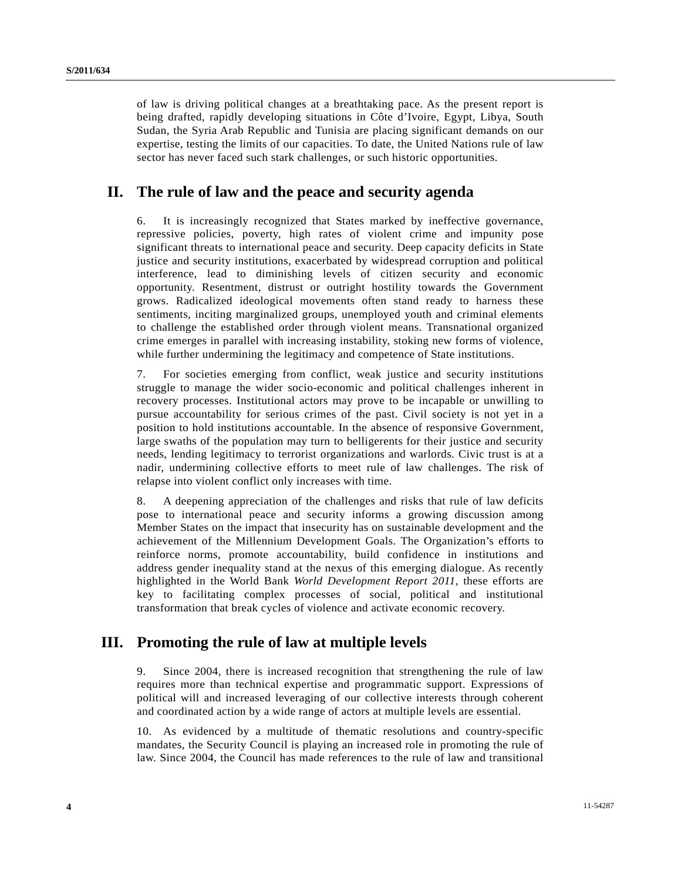of law is driving political changes at a breathtaking pace. As the present report is being drafted, rapidly developing situations in Côte d'Ivoire, Egypt, Libya, South Sudan, the Syria Arab Republic and Tunisia are placing significant demands on our expertise, testing the limits of our capacities. To date, the United Nations rule of law sector has never faced such stark challenges, or such historic opportunities.

## **II. The rule of law and the peace and security agenda**

6. It is increasingly recognized that States marked by ineffective governance, repressive policies, poverty, high rates of violent crime and impunity pose significant threats to international peace and security. Deep capacity deficits in State justice and security institutions, exacerbated by widespread corruption and political interference, lead to diminishing levels of citizen security and economic opportunity. Resentment, distrust or outright hostility towards the Government grows. Radicalized ideological movements often stand ready to harness these sentiments, inciting marginalized groups, unemployed youth and criminal elements to challenge the established order through violent means. Transnational organized crime emerges in parallel with increasing instability, stoking new forms of violence, while further undermining the legitimacy and competence of State institutions.

7. For societies emerging from conflict, weak justice and security institutions struggle to manage the wider socio-economic and political challenges inherent in recovery processes. Institutional actors may prove to be incapable or unwilling to pursue accountability for serious crimes of the past. Civil society is not yet in a position to hold institutions accountable. In the absence of responsive Government, large swaths of the population may turn to belligerents for their justice and security needs, lending legitimacy to terrorist organizations and warlords. Civic trust is at a nadir, undermining collective efforts to meet rule of law challenges. The risk of relapse into violent conflict only increases with time.

8. A deepening appreciation of the challenges and risks that rule of law deficits pose to international peace and security informs a growing discussion among Member States on the impact that insecurity has on sustainable development and the achievement of the Millennium Development Goals. The Organization's efforts to reinforce norms, promote accountability, build confidence in institutions and address gender inequality stand at the nexus of this emerging dialogue. As recently highlighted in the World Bank *World Development Report 2011*, these efforts are key to facilitating complex processes of social, political and institutional transformation that break cycles of violence and activate economic recovery.

#### **III. Promoting the rule of law at multiple levels**

9. Since 2004, there is increased recognition that strengthening the rule of law requires more than technical expertise and programmatic support. Expressions of political will and increased leveraging of our collective interests through coherent and coordinated action by a wide range of actors at multiple levels are essential.

10. As evidenced by a multitude of thematic resolutions and country-specific mandates, the Security Council is playing an increased role in promoting the rule of law. Since 2004, the Council has made references to the rule of law and transitional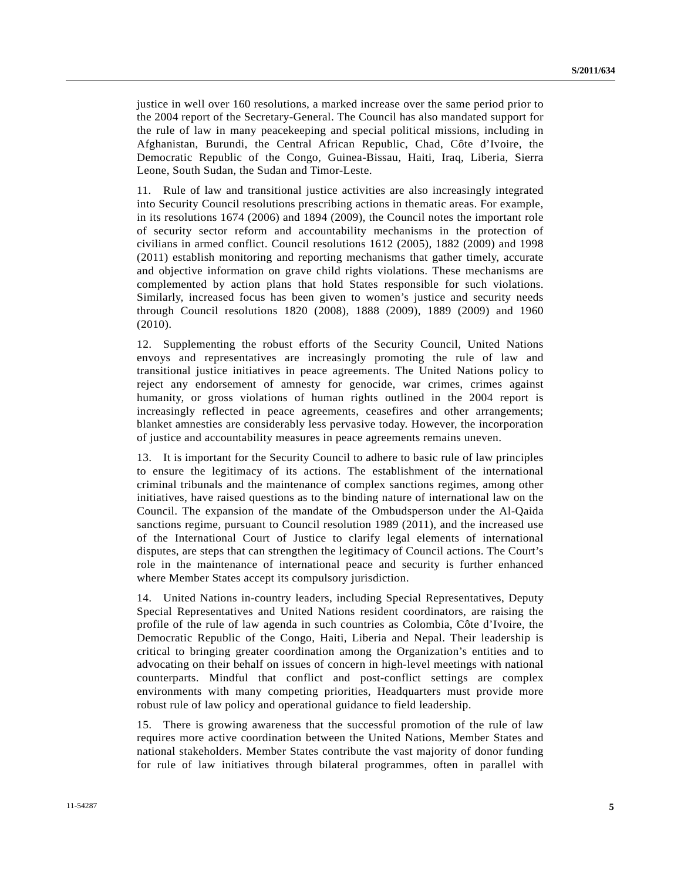justice in well over 160 resolutions, a marked increase over the same period prior to the 2004 report of the Secretary-General. The Council has also mandated support for the rule of law in many peacekeeping and special political missions, including in Afghanistan, Burundi, the Central African Republic, Chad, Côte d'Ivoire, the Democratic Republic of the Congo, Guinea-Bissau, Haiti, Iraq, Liberia, Sierra Leone, South Sudan, the Sudan and Timor-Leste.

11. Rule of law and transitional justice activities are also increasingly integrated into Security Council resolutions prescribing actions in thematic areas. For example, in its resolutions 1674 (2006) and 1894 (2009), the Council notes the important role of security sector reform and accountability mechanisms in the protection of civilians in armed conflict. Council resolutions 1612 (2005), 1882 (2009) and 1998 (2011) establish monitoring and reporting mechanisms that gather timely, accurate and objective information on grave child rights violations. These mechanisms are complemented by action plans that hold States responsible for such violations. Similarly, increased focus has been given to women's justice and security needs through Council resolutions 1820 (2008), 1888 (2009), 1889 (2009) and 1960 (2010).

12. Supplementing the robust efforts of the Security Council, United Nations envoys and representatives are increasingly promoting the rule of law and transitional justice initiatives in peace agreements. The United Nations policy to reject any endorsement of amnesty for genocide, war crimes, crimes against humanity, or gross violations of human rights outlined in the 2004 report is increasingly reflected in peace agreements, ceasefires and other arrangements; blanket amnesties are considerably less pervasive today. However, the incorporation of justice and accountability measures in peace agreements remains uneven.

13. It is important for the Security Council to adhere to basic rule of law principles to ensure the legitimacy of its actions. The establishment of the international criminal tribunals and the maintenance of complex sanctions regimes, among other initiatives, have raised questions as to the binding nature of international law on the Council. The expansion of the mandate of the Ombudsperson under the Al-Qaida sanctions regime, pursuant to Council resolution 1989 (2011), and the increased use of the International Court of Justice to clarify legal elements of international disputes, are steps that can strengthen the legitimacy of Council actions. The Court's role in the maintenance of international peace and security is further enhanced where Member States accept its compulsory jurisdiction.

14. United Nations in-country leaders, including Special Representatives, Deputy Special Representatives and United Nations resident coordinators, are raising the profile of the rule of law agenda in such countries as Colombia, Côte d'Ivoire, the Democratic Republic of the Congo, Haiti, Liberia and Nepal. Their leadership is critical to bringing greater coordination among the Organization's entities and to advocating on their behalf on issues of concern in high-level meetings with national counterparts. Mindful that conflict and post-conflict settings are complex environments with many competing priorities, Headquarters must provide more robust rule of law policy and operational guidance to field leadership.

15. There is growing awareness that the successful promotion of the rule of law requires more active coordination between the United Nations, Member States and national stakeholders. Member States contribute the vast majority of donor funding for rule of law initiatives through bilateral programmes, often in parallel with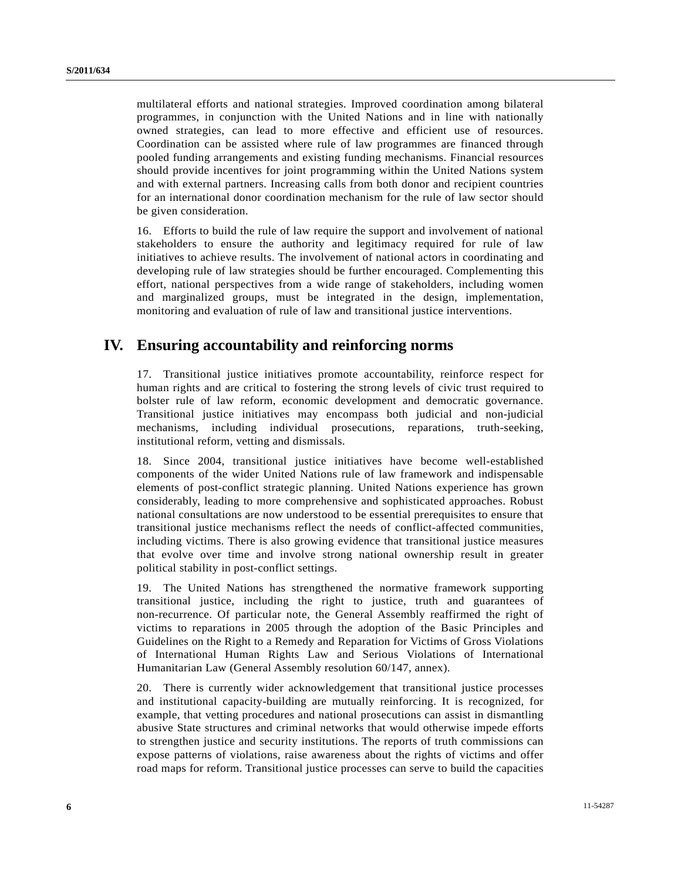multilateral efforts and national strategies. Improved coordination among bilateral programmes, in conjunction with the United Nations and in line with nationally owned strategies, can lead to more effective and efficient use of resources. Coordination can be assisted where rule of law programmes are financed through pooled funding arrangements and existing funding mechanisms. Financial resources should provide incentives for joint programming within the United Nations system and with external partners. Increasing calls from both donor and recipient countries for an international donor coordination mechanism for the rule of law sector should be given consideration.

16. Efforts to build the rule of law require the support and involvement of national stakeholders to ensure the authority and legitimacy required for rule of law initiatives to achieve results. The involvement of national actors in coordinating and developing rule of law strategies should be further encouraged. Complementing this effort, national perspectives from a wide range of stakeholders, including women and marginalized groups, must be integrated in the design, implementation, monitoring and evaluation of rule of law and transitional justice interventions.

## **IV. Ensuring accountability and reinforcing norms**

17. Transitional justice initiatives promote accountability, reinforce respect for human rights and are critical to fostering the strong levels of civic trust required to bolster rule of law reform, economic development and democratic governance. Transitional justice initiatives may encompass both judicial and non-judicial mechanisms, including individual prosecutions, reparations, truth-seeking, institutional reform, vetting and dismissals.

18. Since 2004, transitional justice initiatives have become well-established components of the wider United Nations rule of law framework and indispensable elements of post-conflict strategic planning. United Nations experience has grown considerably, leading to more comprehensive and sophisticated approaches. Robust national consultations are now understood to be essential prerequisites to ensure that transitional justice mechanisms reflect the needs of conflict-affected communities, including victims. There is also growing evidence that transitional justice measures that evolve over time and involve strong national ownership result in greater political stability in post-conflict settings.

19. The United Nations has strengthened the normative framework supporting transitional justice, including the right to justice, truth and guarantees of non-recurrence. Of particular note, the General Assembly reaffirmed the right of victims to reparations in 2005 through the adoption of the Basic Principles and Guidelines on the Right to a Remedy and Reparation for Victims of Gross Violations of International Human Rights Law and Serious Violations of International Humanitarian Law (General Assembly resolution 60/147, annex).

20. There is currently wider acknowledgement that transitional justice processes and institutional capacity-building are mutually reinforcing. It is recognized, for example, that vetting procedures and national prosecutions can assist in dismantling abusive State structures and criminal networks that would otherwise impede efforts to strengthen justice and security institutions. The reports of truth commissions can expose patterns of violations, raise awareness about the rights of victims and offer road maps for reform. Transitional justice processes can serve to build the capacities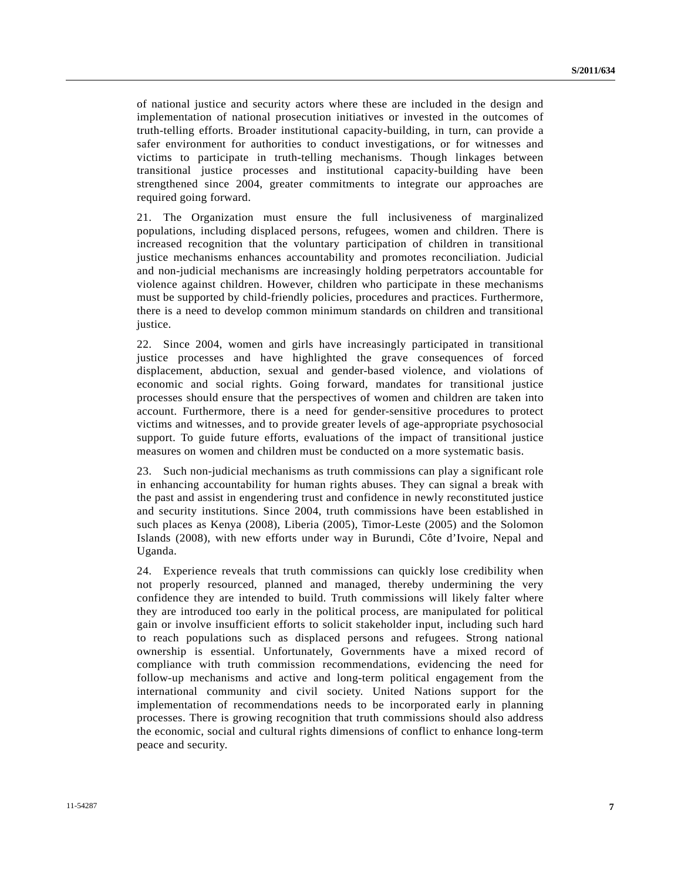of national justice and security actors where these are included in the design and implementation of national prosecution initiatives or invested in the outcomes of truth-telling efforts. Broader institutional capacity-building, in turn, can provide a safer environment for authorities to conduct investigations, or for witnesses and victims to participate in truth-telling mechanisms. Though linkages between transitional justice processes and institutional capacity-building have been strengthened since 2004, greater commitments to integrate our approaches are required going forward.

21. The Organization must ensure the full inclusiveness of marginalized populations, including displaced persons, refugees, women and children. There is increased recognition that the voluntary participation of children in transitional justice mechanisms enhances accountability and promotes reconciliation. Judicial and non-judicial mechanisms are increasingly holding perpetrators accountable for violence against children. However, children who participate in these mechanisms must be supported by child-friendly policies, procedures and practices. Furthermore, there is a need to develop common minimum standards on children and transitional justice.

22. Since 2004, women and girls have increasingly participated in transitional justice processes and have highlighted the grave consequences of forced displacement, abduction, sexual and gender-based violence, and violations of economic and social rights. Going forward, mandates for transitional justice processes should ensure that the perspectives of women and children are taken into account. Furthermore, there is a need for gender-sensitive procedures to protect victims and witnesses, and to provide greater levels of age-appropriate psychosocial support. To guide future efforts, evaluations of the impact of transitional justice measures on women and children must be conducted on a more systematic basis.

23. Such non-judicial mechanisms as truth commissions can play a significant role in enhancing accountability for human rights abuses. They can signal a break with the past and assist in engendering trust and confidence in newly reconstituted justice and security institutions. Since 2004, truth commissions have been established in such places as Kenya (2008), Liberia (2005), Timor-Leste (2005) and the Solomon Islands (2008), with new efforts under way in Burundi, Côte d'Ivoire, Nepal and Uganda.

24. Experience reveals that truth commissions can quickly lose credibility when not properly resourced, planned and managed, thereby undermining the very confidence they are intended to build. Truth commissions will likely falter where they are introduced too early in the political process, are manipulated for political gain or involve insufficient efforts to solicit stakeholder input, including such hard to reach populations such as displaced persons and refugees. Strong national ownership is essential. Unfortunately, Governments have a mixed record of compliance with truth commission recommendations, evidencing the need for follow-up mechanisms and active and long-term political engagement from the international community and civil society. United Nations support for the implementation of recommendations needs to be incorporated early in planning processes. There is growing recognition that truth commissions should also address the economic, social and cultural rights dimensions of conflict to enhance long-term peace and security.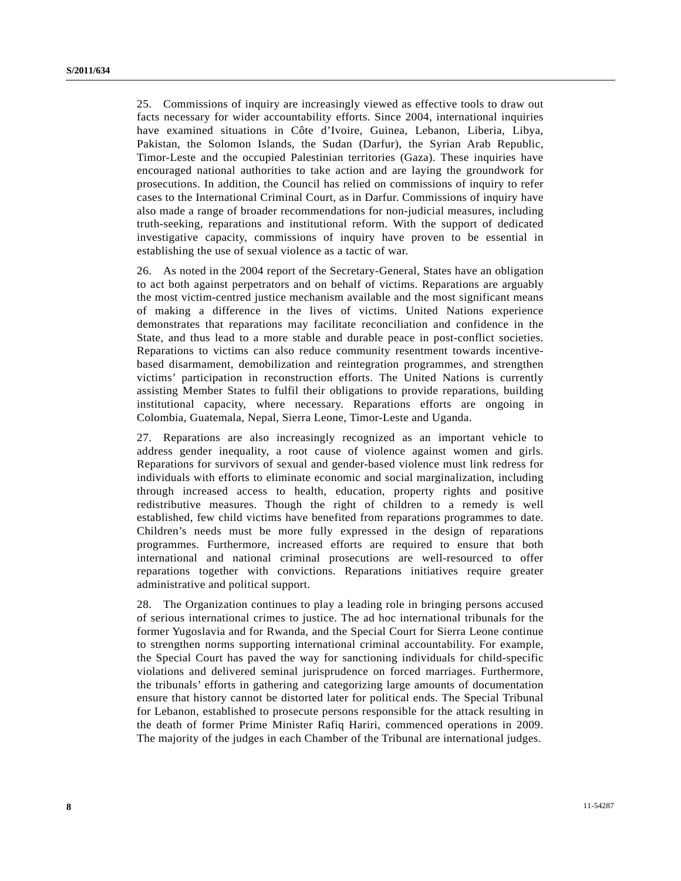25. Commissions of inquiry are increasingly viewed as effective tools to draw out facts necessary for wider accountability efforts. Since 2004, international inquiries have examined situations in Côte d'Ivoire, Guinea, Lebanon, Liberia, Libya, Pakistan, the Solomon Islands, the Sudan (Darfur), the Syrian Arab Republic, Timor-Leste and the occupied Palestinian territories (Gaza). These inquiries have encouraged national authorities to take action and are laying the groundwork for prosecutions. In addition, the Council has relied on commissions of inquiry to refer cases to the International Criminal Court, as in Darfur. Commissions of inquiry have also made a range of broader recommendations for non-judicial measures, including truth-seeking, reparations and institutional reform. With the support of dedicated investigative capacity, commissions of inquiry have proven to be essential in establishing the use of sexual violence as a tactic of war.

26. As noted in the 2004 report of the Secretary-General, States have an obligation to act both against perpetrators and on behalf of victims. Reparations are arguably the most victim-centred justice mechanism available and the most significant means of making a difference in the lives of victims. United Nations experience demonstrates that reparations may facilitate reconciliation and confidence in the State, and thus lead to a more stable and durable peace in post-conflict societies. Reparations to victims can also reduce community resentment towards incentivebased disarmament, demobilization and reintegration programmes, and strengthen victims' participation in reconstruction efforts. The United Nations is currently assisting Member States to fulfil their obligations to provide reparations, building institutional capacity, where necessary. Reparations efforts are ongoing in Colombia, Guatemala, Nepal, Sierra Leone, Timor-Leste and Uganda.

27. Reparations are also increasingly recognized as an important vehicle to address gender inequality, a root cause of violence against women and girls. Reparations for survivors of sexual and gender-based violence must link redress for individuals with efforts to eliminate economic and social marginalization, including through increased access to health, education, property rights and positive redistributive measures. Though the right of children to a remedy is well established, few child victims have benefited from reparations programmes to date. Children's needs must be more fully expressed in the design of reparations programmes. Furthermore, increased efforts are required to ensure that both international and national criminal prosecutions are well-resourced to offer reparations together with convictions. Reparations initiatives require greater administrative and political support.

28. The Organization continues to play a leading role in bringing persons accused of serious international crimes to justice. The ad hoc international tribunals for the former Yugoslavia and for Rwanda, and the Special Court for Sierra Leone continue to strengthen norms supporting international criminal accountability. For example, the Special Court has paved the way for sanctioning individuals for child-specific violations and delivered seminal jurisprudence on forced marriages. Furthermore, the tribunals' efforts in gathering and categorizing large amounts of documentation ensure that history cannot be distorted later for political ends. The Special Tribunal for Lebanon, established to prosecute persons responsible for the attack resulting in the death of former Prime Minister Rafiq Hariri, commenced operations in 2009. The majority of the judges in each Chamber of the Tribunal are international judges.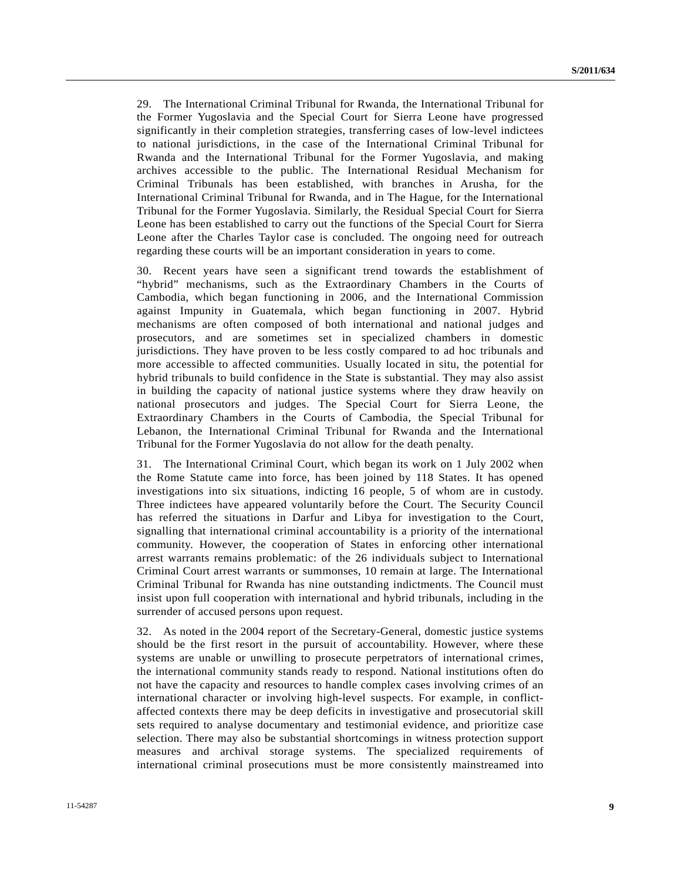29. The International Criminal Tribunal for Rwanda, the International Tribunal for the Former Yugoslavia and the Special Court for Sierra Leone have progressed significantly in their completion strategies, transferring cases of low-level indictees to national jurisdictions, in the case of the International Criminal Tribunal for Rwanda and the International Tribunal for the Former Yugoslavia, and making archives accessible to the public. The International Residual Mechanism for Criminal Tribunals has been established, with branches in Arusha, for the International Criminal Tribunal for Rwanda, and in The Hague, for the International Tribunal for the Former Yugoslavia. Similarly, the Residual Special Court for Sierra Leone has been established to carry out the functions of the Special Court for Sierra Leone after the Charles Taylor case is concluded. The ongoing need for outreach regarding these courts will be an important consideration in years to come.

30. Recent years have seen a significant trend towards the establishment of "hybrid" mechanisms, such as the Extraordinary Chambers in the Courts of Cambodia, which began functioning in 2006, and the International Commission against Impunity in Guatemala, which began functioning in 2007. Hybrid mechanisms are often composed of both international and national judges and prosecutors, and are sometimes set in specialized chambers in domestic jurisdictions. They have proven to be less costly compared to ad hoc tribunals and more accessible to affected communities. Usually located in situ, the potential for hybrid tribunals to build confidence in the State is substantial. They may also assist in building the capacity of national justice systems where they draw heavily on national prosecutors and judges. The Special Court for Sierra Leone, the Extraordinary Chambers in the Courts of Cambodia, the Special Tribunal for Lebanon, the International Criminal Tribunal for Rwanda and the International Tribunal for the Former Yugoslavia do not allow for the death penalty.

31. The International Criminal Court, which began its work on 1 July 2002 when the Rome Statute came into force, has been joined by 118 States. It has opened investigations into six situations, indicting 16 people, 5 of whom are in custody. Three indictees have appeared voluntarily before the Court. The Security Council has referred the situations in Darfur and Libya for investigation to the Court, signalling that international criminal accountability is a priority of the international community. However, the cooperation of States in enforcing other international arrest warrants remains problematic: of the 26 individuals subject to International Criminal Court arrest warrants or summonses, 10 remain at large. The International Criminal Tribunal for Rwanda has nine outstanding indictments. The Council must insist upon full cooperation with international and hybrid tribunals, including in the surrender of accused persons upon request.

32. As noted in the 2004 report of the Secretary-General, domestic justice systems should be the first resort in the pursuit of accountability. However, where these systems are unable or unwilling to prosecute perpetrators of international crimes, the international community stands ready to respond. National institutions often do not have the capacity and resources to handle complex cases involving crimes of an international character or involving high-level suspects. For example, in conflictaffected contexts there may be deep deficits in investigative and prosecutorial skill sets required to analyse documentary and testimonial evidence, and prioritize case selection. There may also be substantial shortcomings in witness protection support measures and archival storage systems. The specialized requirements of international criminal prosecutions must be more consistently mainstreamed into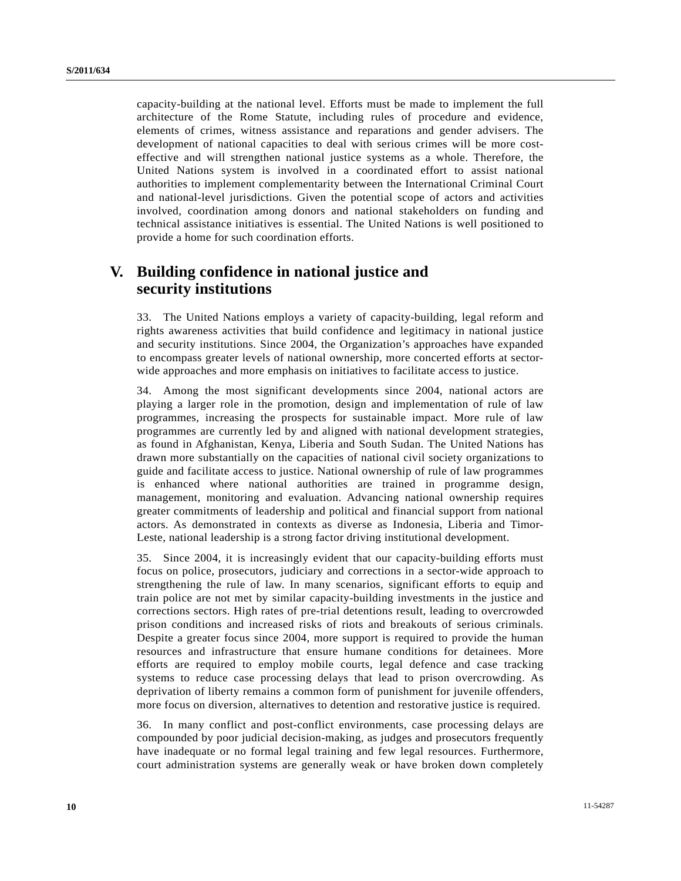capacity-building at the national level. Efforts must be made to implement the full architecture of the Rome Statute, including rules of procedure and evidence, elements of crimes, witness assistance and reparations and gender advisers. The development of national capacities to deal with serious crimes will be more costeffective and will strengthen national justice systems as a whole. Therefore, the United Nations system is involved in a coordinated effort to assist national authorities to implement complementarity between the International Criminal Court and national-level jurisdictions. Given the potential scope of actors and activities involved, coordination among donors and national stakeholders on funding and technical assistance initiatives is essential. The United Nations is well positioned to provide a home for such coordination efforts.

## **V. Building confidence in national justice and security institutions**

33. The United Nations employs a variety of capacity-building, legal reform and rights awareness activities that build confidence and legitimacy in national justice and security institutions. Since 2004, the Organization's approaches have expanded to encompass greater levels of national ownership, more concerted efforts at sectorwide approaches and more emphasis on initiatives to facilitate access to justice.

34. Among the most significant developments since 2004, national actors are playing a larger role in the promotion, design and implementation of rule of law programmes, increasing the prospects for sustainable impact. More rule of law programmes are currently led by and aligned with national development strategies, as found in Afghanistan, Kenya, Liberia and South Sudan. The United Nations has drawn more substantially on the capacities of national civil society organizations to guide and facilitate access to justice. National ownership of rule of law programmes is enhanced where national authorities are trained in programme design, management, monitoring and evaluation. Advancing national ownership requires greater commitments of leadership and political and financial support from national actors. As demonstrated in contexts as diverse as Indonesia, Liberia and Timor-Leste, national leadership is a strong factor driving institutional development.

35. Since 2004, it is increasingly evident that our capacity-building efforts must focus on police, prosecutors, judiciary and corrections in a sector-wide approach to strengthening the rule of law. In many scenarios, significant efforts to equip and train police are not met by similar capacity-building investments in the justice and corrections sectors. High rates of pre-trial detentions result, leading to overcrowded prison conditions and increased risks of riots and breakouts of serious criminals. Despite a greater focus since 2004, more support is required to provide the human resources and infrastructure that ensure humane conditions for detainees. More efforts are required to employ mobile courts, legal defence and case tracking systems to reduce case processing delays that lead to prison overcrowding. As deprivation of liberty remains a common form of punishment for juvenile offenders, more focus on diversion, alternatives to detention and restorative justice is required.

36. In many conflict and post-conflict environments, case processing delays are compounded by poor judicial decision-making, as judges and prosecutors frequently have inadequate or no formal legal training and few legal resources. Furthermore, court administration systems are generally weak or have broken down completely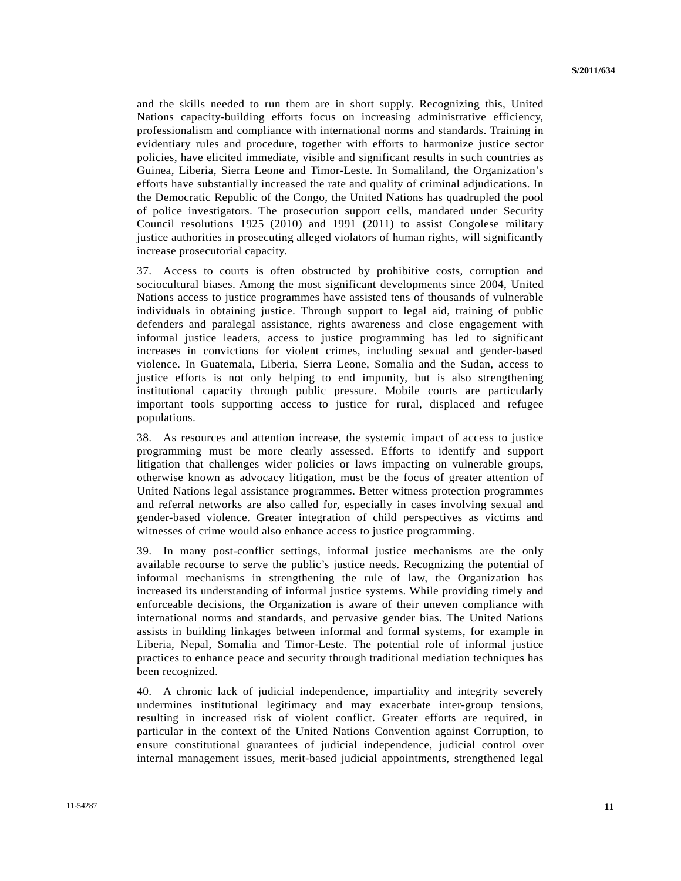and the skills needed to run them are in short supply. Recognizing this, United Nations capacity-building efforts focus on increasing administrative efficiency, professionalism and compliance with international norms and standards. Training in evidentiary rules and procedure, together with efforts to harmonize justice sector policies, have elicited immediate, visible and significant results in such countries as Guinea, Liberia, Sierra Leone and Timor-Leste. In Somaliland, the Organization's efforts have substantially increased the rate and quality of criminal adjudications. In the Democratic Republic of the Congo, the United Nations has quadrupled the pool of police investigators. The prosecution support cells, mandated under Security Council resolutions 1925 (2010) and 1991 (2011) to assist Congolese military justice authorities in prosecuting alleged violators of human rights, will significantly increase prosecutorial capacity.

37. Access to courts is often obstructed by prohibitive costs, corruption and sociocultural biases. Among the most significant developments since 2004, United Nations access to justice programmes have assisted tens of thousands of vulnerable individuals in obtaining justice. Through support to legal aid, training of public defenders and paralegal assistance, rights awareness and close engagement with informal justice leaders, access to justice programming has led to significant increases in convictions for violent crimes, including sexual and gender-based violence. In Guatemala, Liberia, Sierra Leone, Somalia and the Sudan, access to justice efforts is not only helping to end impunity, but is also strengthening institutional capacity through public pressure. Mobile courts are particularly important tools supporting access to justice for rural, displaced and refugee populations.

38. As resources and attention increase, the systemic impact of access to justice programming must be more clearly assessed. Efforts to identify and support litigation that challenges wider policies or laws impacting on vulnerable groups, otherwise known as advocacy litigation, must be the focus of greater attention of United Nations legal assistance programmes. Better witness protection programmes and referral networks are also called for, especially in cases involving sexual and gender-based violence. Greater integration of child perspectives as victims and witnesses of crime would also enhance access to justice programming.

39. In many post-conflict settings, informal justice mechanisms are the only available recourse to serve the public's justice needs. Recognizing the potential of informal mechanisms in strengthening the rule of law, the Organization has increased its understanding of informal justice systems. While providing timely and enforceable decisions, the Organization is aware of their uneven compliance with international norms and standards, and pervasive gender bias. The United Nations assists in building linkages between informal and formal systems, for example in Liberia, Nepal, Somalia and Timor-Leste. The potential role of informal justice practices to enhance peace and security through traditional mediation techniques has been recognized.

40. A chronic lack of judicial independence, impartiality and integrity severely undermines institutional legitimacy and may exacerbate inter-group tensions, resulting in increased risk of violent conflict. Greater efforts are required, in particular in the context of the United Nations Convention against Corruption, to ensure constitutional guarantees of judicial independence, judicial control over internal management issues, merit-based judicial appointments, strengthened legal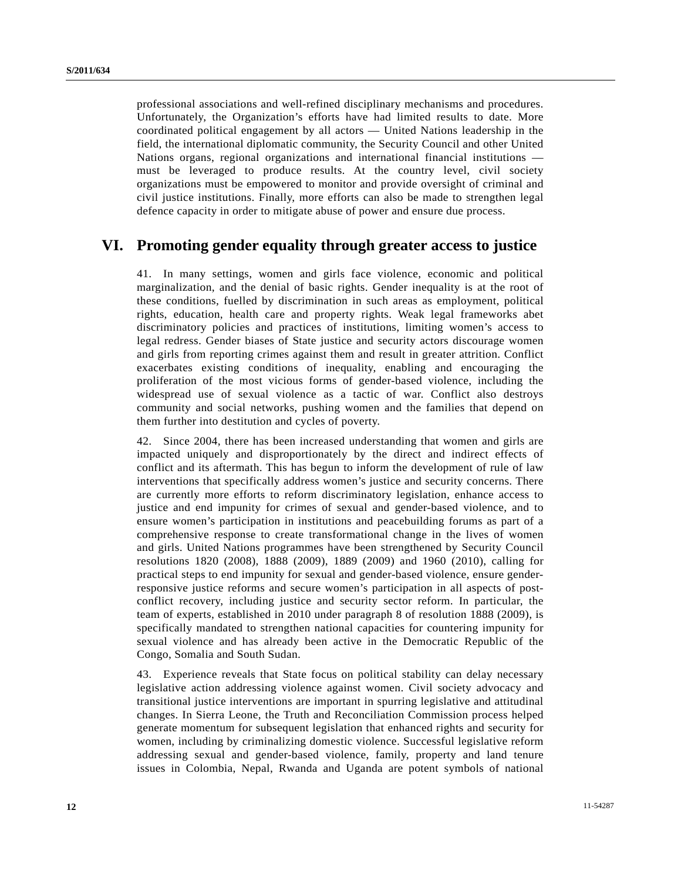professional associations and well-refined disciplinary mechanisms and procedures. Unfortunately, the Organization's efforts have had limited results to date. More coordinated political engagement by all actors — United Nations leadership in the field, the international diplomatic community, the Security Council and other United Nations organs, regional organizations and international financial institutions must be leveraged to produce results. At the country level, civil society organizations must be empowered to monitor and provide oversight of criminal and civil justice institutions. Finally, more efforts can also be made to strengthen legal defence capacity in order to mitigate abuse of power and ensure due process.

### **VI. Promoting gender equality through greater access to justice**

41. In many settings, women and girls face violence, economic and political marginalization, and the denial of basic rights. Gender inequality is at the root of these conditions, fuelled by discrimination in such areas as employment, political rights, education, health care and property rights. Weak legal frameworks abet discriminatory policies and practices of institutions, limiting women's access to legal redress. Gender biases of State justice and security actors discourage women and girls from reporting crimes against them and result in greater attrition. Conflict exacerbates existing conditions of inequality, enabling and encouraging the proliferation of the most vicious forms of gender-based violence, including the widespread use of sexual violence as a tactic of war. Conflict also destroys community and social networks, pushing women and the families that depend on them further into destitution and cycles of poverty.

42. Since 2004, there has been increased understanding that women and girls are impacted uniquely and disproportionately by the direct and indirect effects of conflict and its aftermath. This has begun to inform the development of rule of law interventions that specifically address women's justice and security concerns. There are currently more efforts to reform discriminatory legislation, enhance access to justice and end impunity for crimes of sexual and gender-based violence, and to ensure women's participation in institutions and peacebuilding forums as part of a comprehensive response to create transformational change in the lives of women and girls. United Nations programmes have been strengthened by Security Council resolutions 1820 (2008), 1888 (2009), 1889 (2009) and 1960 (2010), calling for practical steps to end impunity for sexual and gender-based violence, ensure genderresponsive justice reforms and secure women's participation in all aspects of postconflict recovery, including justice and security sector reform. In particular, the team of experts, established in 2010 under paragraph 8 of resolution 1888 (2009), is specifically mandated to strengthen national capacities for countering impunity for sexual violence and has already been active in the Democratic Republic of the Congo, Somalia and South Sudan.

43. Experience reveals that State focus on political stability can delay necessary legislative action addressing violence against women. Civil society advocacy and transitional justice interventions are important in spurring legislative and attitudinal changes. In Sierra Leone, the Truth and Reconciliation Commission process helped generate momentum for subsequent legislation that enhanced rights and security for women, including by criminalizing domestic violence. Successful legislative reform addressing sexual and gender-based violence, family, property and land tenure issues in Colombia, Nepal, Rwanda and Uganda are potent symbols of national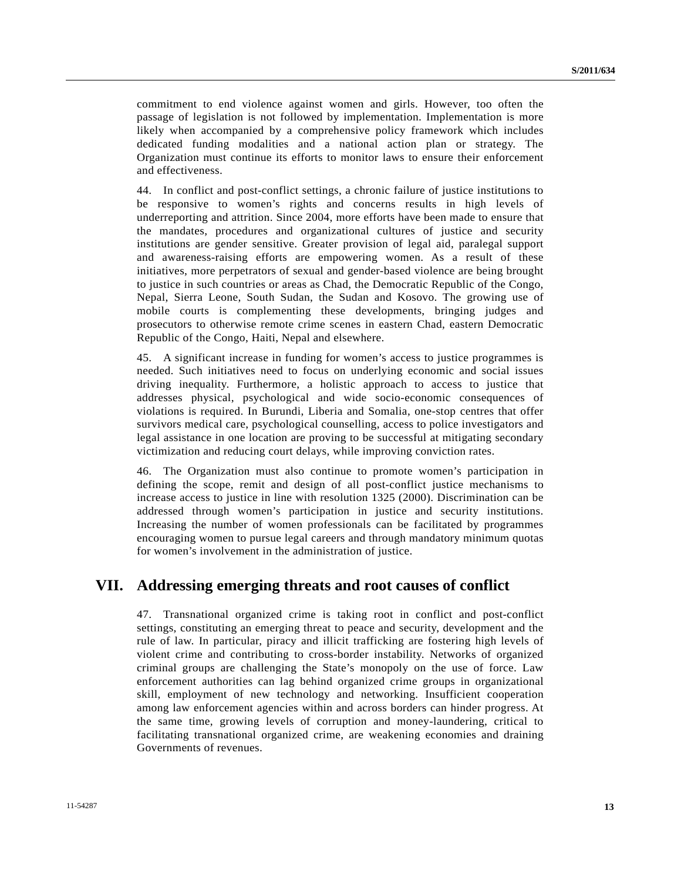commitment to end violence against women and girls. However, too often the passage of legislation is not followed by implementation. Implementation is more likely when accompanied by a comprehensive policy framework which includes dedicated funding modalities and a national action plan or strategy. The Organization must continue its efforts to monitor laws to ensure their enforcement and effectiveness.

44. In conflict and post-conflict settings, a chronic failure of justice institutions to be responsive to women's rights and concerns results in high levels of underreporting and attrition. Since 2004, more efforts have been made to ensure that the mandates, procedures and organizational cultures of justice and security institutions are gender sensitive. Greater provision of legal aid, paralegal support and awareness-raising efforts are empowering women. As a result of these initiatives, more perpetrators of sexual and gender-based violence are being brought to justice in such countries or areas as Chad, the Democratic Republic of the Congo, Nepal, Sierra Leone, South Sudan, the Sudan and Kosovo. The growing use of mobile courts is complementing these developments, bringing judges and prosecutors to otherwise remote crime scenes in eastern Chad, eastern Democratic Republic of the Congo, Haiti, Nepal and elsewhere.

45. A significant increase in funding for women's access to justice programmes is needed. Such initiatives need to focus on underlying economic and social issues driving inequality. Furthermore, a holistic approach to access to justice that addresses physical, psychological and wide socio-economic consequences of violations is required. In Burundi, Liberia and Somalia, one-stop centres that offer survivors medical care, psychological counselling, access to police investigators and legal assistance in one location are proving to be successful at mitigating secondary victimization and reducing court delays, while improving conviction rates.

46. The Organization must also continue to promote women's participation in defining the scope, remit and design of all post-conflict justice mechanisms to increase access to justice in line with resolution 1325 (2000). Discrimination can be addressed through women's participation in justice and security institutions. Increasing the number of women professionals can be facilitated by programmes encouraging women to pursue legal careers and through mandatory minimum quotas for women's involvement in the administration of justice.

## **VII. Addressing emerging threats and root causes of conflict**

47. Transnational organized crime is taking root in conflict and post-conflict settings, constituting an emerging threat to peace and security, development and the rule of law. In particular, piracy and illicit trafficking are fostering high levels of violent crime and contributing to cross-border instability. Networks of organized criminal groups are challenging the State's monopoly on the use of force. Law enforcement authorities can lag behind organized crime groups in organizational skill, employment of new technology and networking. Insufficient cooperation among law enforcement agencies within and across borders can hinder progress. At the same time, growing levels of corruption and money-laundering, critical to facilitating transnational organized crime, are weakening economies and draining Governments of revenues.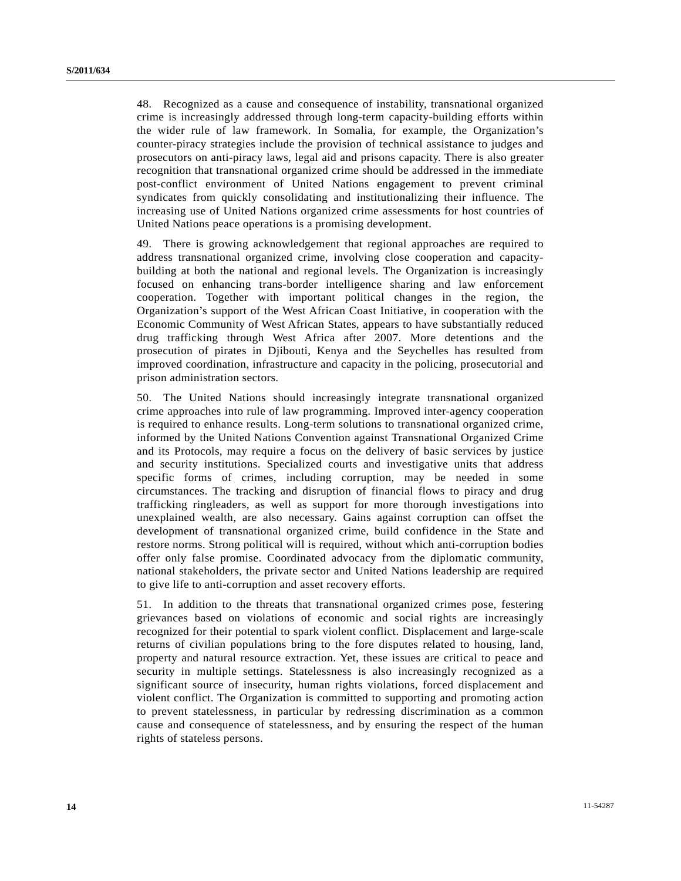48. Recognized as a cause and consequence of instability, transnational organized crime is increasingly addressed through long-term capacity-building efforts within the wider rule of law framework. In Somalia, for example, the Organization's counter-piracy strategies include the provision of technical assistance to judges and prosecutors on anti-piracy laws, legal aid and prisons capacity. There is also greater recognition that transnational organized crime should be addressed in the immediate post-conflict environment of United Nations engagement to prevent criminal syndicates from quickly consolidating and institutionalizing their influence. The increasing use of United Nations organized crime assessments for host countries of United Nations peace operations is a promising development.

49. There is growing acknowledgement that regional approaches are required to address transnational organized crime, involving close cooperation and capacitybuilding at both the national and regional levels. The Organization is increasingly focused on enhancing trans-border intelligence sharing and law enforcement cooperation. Together with important political changes in the region, the Organization's support of the West African Coast Initiative, in cooperation with the Economic Community of West African States, appears to have substantially reduced drug trafficking through West Africa after 2007. More detentions and the prosecution of pirates in Djibouti, Kenya and the Seychelles has resulted from improved coordination, infrastructure and capacity in the policing, prosecutorial and prison administration sectors.

50. The United Nations should increasingly integrate transnational organized crime approaches into rule of law programming. Improved inter-agency cooperation is required to enhance results. Long-term solutions to transnational organized crime, informed by the United Nations Convention against Transnational Organized Crime and its Protocols, may require a focus on the delivery of basic services by justice and security institutions. Specialized courts and investigative units that address specific forms of crimes, including corruption, may be needed in some circumstances. The tracking and disruption of financial flows to piracy and drug trafficking ringleaders, as well as support for more thorough investigations into unexplained wealth, are also necessary. Gains against corruption can offset the development of transnational organized crime, build confidence in the State and restore norms. Strong political will is required, without which anti-corruption bodies offer only false promise. Coordinated advocacy from the diplomatic community, national stakeholders, the private sector and United Nations leadership are required to give life to anti-corruption and asset recovery efforts.

51. In addition to the threats that transnational organized crimes pose, festering grievances based on violations of economic and social rights are increasingly recognized for their potential to spark violent conflict. Displacement and large-scale returns of civilian populations bring to the fore disputes related to housing, land, property and natural resource extraction. Yet, these issues are critical to peace and security in multiple settings. Statelessness is also increasingly recognized as a significant source of insecurity, human rights violations, forced displacement and violent conflict. The Organization is committed to supporting and promoting action to prevent statelessness, in particular by redressing discrimination as a common cause and consequence of statelessness, and by ensuring the respect of the human rights of stateless persons.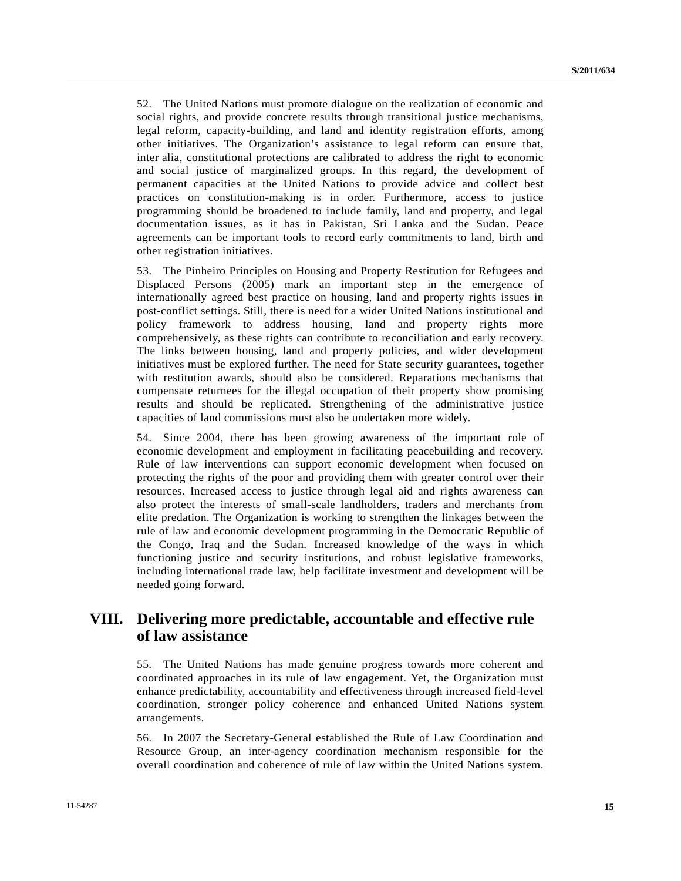52. The United Nations must promote dialogue on the realization of economic and social rights, and provide concrete results through transitional justice mechanisms, legal reform, capacity-building, and land and identity registration efforts, among other initiatives. The Organization's assistance to legal reform can ensure that, inter alia, constitutional protections are calibrated to address the right to economic and social justice of marginalized groups. In this regard, the development of permanent capacities at the United Nations to provide advice and collect best practices on constitution-making is in order. Furthermore, access to justice programming should be broadened to include family, land and property, and legal documentation issues, as it has in Pakistan, Sri Lanka and the Sudan. Peace agreements can be important tools to record early commitments to land, birth and other registration initiatives.

53. The Pinheiro Principles on Housing and Property Restitution for Refugees and Displaced Persons (2005) mark an important step in the emergence of internationally agreed best practice on housing, land and property rights issues in post-conflict settings. Still, there is need for a wider United Nations institutional and policy framework to address housing, land and property rights more comprehensively, as these rights can contribute to reconciliation and early recovery. The links between housing, land and property policies, and wider development initiatives must be explored further. The need for State security guarantees, together with restitution awards, should also be considered. Reparations mechanisms that compensate returnees for the illegal occupation of their property show promising results and should be replicated. Strengthening of the administrative justice capacities of land commissions must also be undertaken more widely.

54. Since 2004, there has been growing awareness of the important role of economic development and employment in facilitating peacebuilding and recovery. Rule of law interventions can support economic development when focused on protecting the rights of the poor and providing them with greater control over their resources. Increased access to justice through legal aid and rights awareness can also protect the interests of small-scale landholders, traders and merchants from elite predation. The Organization is working to strengthen the linkages between the rule of law and economic development programming in the Democratic Republic of the Congo, Iraq and the Sudan. Increased knowledge of the ways in which functioning justice and security institutions, and robust legislative frameworks, including international trade law, help facilitate investment and development will be needed going forward.

### **VIII. Delivering more predictable, accountable and effective rule of law assistance**

55. The United Nations has made genuine progress towards more coherent and coordinated approaches in its rule of law engagement. Yet, the Organization must enhance predictability, accountability and effectiveness through increased field-level coordination, stronger policy coherence and enhanced United Nations system arrangements.

56. In 2007 the Secretary-General established the Rule of Law Coordination and Resource Group, an inter-agency coordination mechanism responsible for the overall coordination and coherence of rule of law within the United Nations system.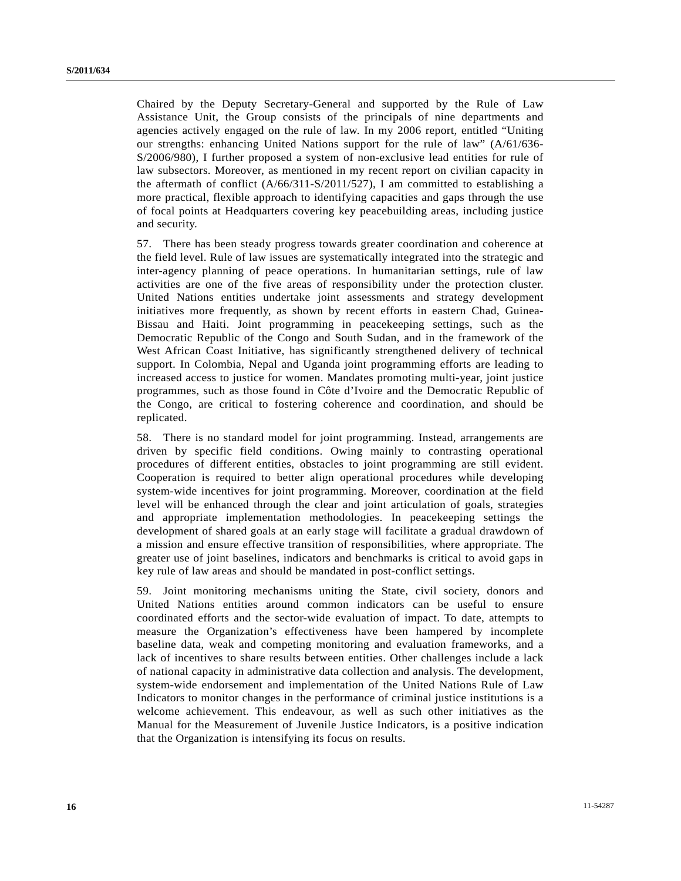Chaired by the Deputy Secretary-General and supported by the Rule of Law Assistance Unit, the Group consists of the principals of nine departments and agencies actively engaged on the rule of law. In my 2006 report, entitled "Uniting our strengths: enhancing United Nations support for the rule of law" (A/61/636- S/2006/980), I further proposed a system of non-exclusive lead entities for rule of law subsectors. Moreover, as mentioned in my recent report on civilian capacity in the aftermath of conflict (A/66/311-S/2011/527), I am committed to establishing a more practical, flexible approach to identifying capacities and gaps through the use of focal points at Headquarters covering key peacebuilding areas, including justice and security.

57. There has been steady progress towards greater coordination and coherence at the field level. Rule of law issues are systematically integrated into the strategic and inter-agency planning of peace operations. In humanitarian settings, rule of law activities are one of the five areas of responsibility under the protection cluster. United Nations entities undertake joint assessments and strategy development initiatives more frequently, as shown by recent efforts in eastern Chad, Guinea-Bissau and Haiti. Joint programming in peacekeeping settings, such as the Democratic Republic of the Congo and South Sudan, and in the framework of the West African Coast Initiative, has significantly strengthened delivery of technical support. In Colombia, Nepal and Uganda joint programming efforts are leading to increased access to justice for women. Mandates promoting multi-year, joint justice programmes, such as those found in Côte d'Ivoire and the Democratic Republic of the Congo, are critical to fostering coherence and coordination, and should be replicated.

58. There is no standard model for joint programming. Instead, arrangements are driven by specific field conditions. Owing mainly to contrasting operational procedures of different entities, obstacles to joint programming are still evident. Cooperation is required to better align operational procedures while developing system-wide incentives for joint programming. Moreover, coordination at the field level will be enhanced through the clear and joint articulation of goals, strategies and appropriate implementation methodologies. In peacekeeping settings the development of shared goals at an early stage will facilitate a gradual drawdown of a mission and ensure effective transition of responsibilities, where appropriate. The greater use of joint baselines, indicators and benchmarks is critical to avoid gaps in key rule of law areas and should be mandated in post-conflict settings.

59. Joint monitoring mechanisms uniting the State, civil society, donors and United Nations entities around common indicators can be useful to ensure coordinated efforts and the sector-wide evaluation of impact. To date, attempts to measure the Organization's effectiveness have been hampered by incomplete baseline data, weak and competing monitoring and evaluation frameworks, and a lack of incentives to share results between entities. Other challenges include a lack of national capacity in administrative data collection and analysis. The development, system-wide endorsement and implementation of the United Nations Rule of Law Indicators to monitor changes in the performance of criminal justice institutions is a welcome achievement. This endeavour, as well as such other initiatives as the Manual for the Measurement of Juvenile Justice Indicators, is a positive indication that the Organization is intensifying its focus on results.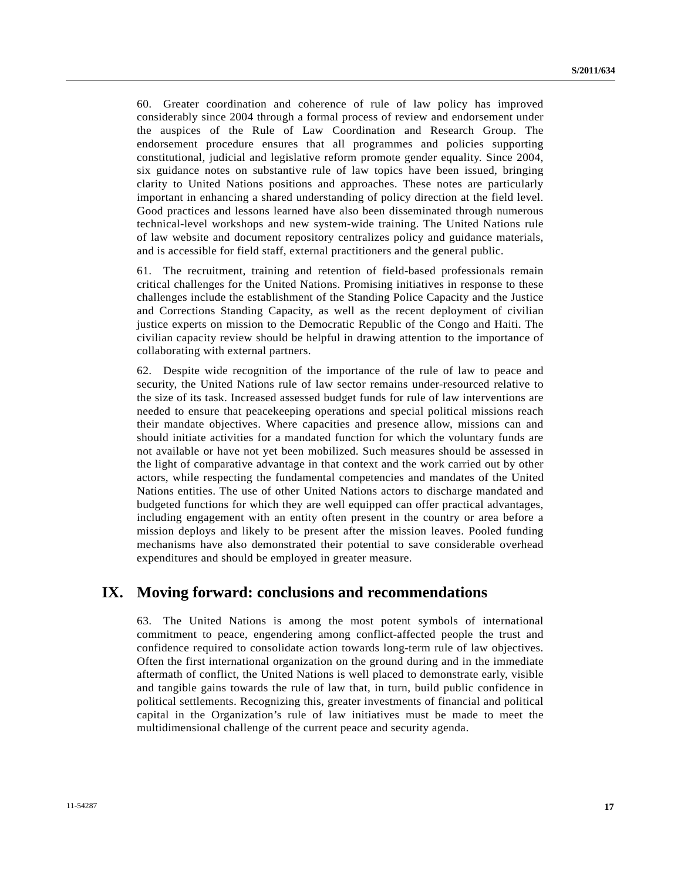60. Greater coordination and coherence of rule of law policy has improved considerably since 2004 through a formal process of review and endorsement under the auspices of the Rule of Law Coordination and Research Group. The endorsement procedure ensures that all programmes and policies supporting constitutional, judicial and legislative reform promote gender equality. Since 2004, six guidance notes on substantive rule of law topics have been issued, bringing clarity to United Nations positions and approaches. These notes are particularly important in enhancing a shared understanding of policy direction at the field level. Good practices and lessons learned have also been disseminated through numerous technical-level workshops and new system-wide training. The United Nations rule of law website and document repository centralizes policy and guidance materials, and is accessible for field staff, external practitioners and the general public.

61. The recruitment, training and retention of field-based professionals remain critical challenges for the United Nations. Promising initiatives in response to these challenges include the establishment of the Standing Police Capacity and the Justice and Corrections Standing Capacity, as well as the recent deployment of civilian justice experts on mission to the Democratic Republic of the Congo and Haiti. The civilian capacity review should be helpful in drawing attention to the importance of collaborating with external partners.

62. Despite wide recognition of the importance of the rule of law to peace and security, the United Nations rule of law sector remains under-resourced relative to the size of its task. Increased assessed budget funds for rule of law interventions are needed to ensure that peacekeeping operations and special political missions reach their mandate objectives. Where capacities and presence allow, missions can and should initiate activities for a mandated function for which the voluntary funds are not available or have not yet been mobilized. Such measures should be assessed in the light of comparative advantage in that context and the work carried out by other actors, while respecting the fundamental competencies and mandates of the United Nations entities. The use of other United Nations actors to discharge mandated and budgeted functions for which they are well equipped can offer practical advantages, including engagement with an entity often present in the country or area before a mission deploys and likely to be present after the mission leaves. Pooled funding mechanisms have also demonstrated their potential to save considerable overhead expenditures and should be employed in greater measure.

### **IX. Moving forward: conclusions and recommendations**

63. The United Nations is among the most potent symbols of international commitment to peace, engendering among conflict-affected people the trust and confidence required to consolidate action towards long-term rule of law objectives. Often the first international organization on the ground during and in the immediate aftermath of conflict, the United Nations is well placed to demonstrate early, visible and tangible gains towards the rule of law that, in turn, build public confidence in political settlements. Recognizing this, greater investments of financial and political capital in the Organization's rule of law initiatives must be made to meet the multidimensional challenge of the current peace and security agenda.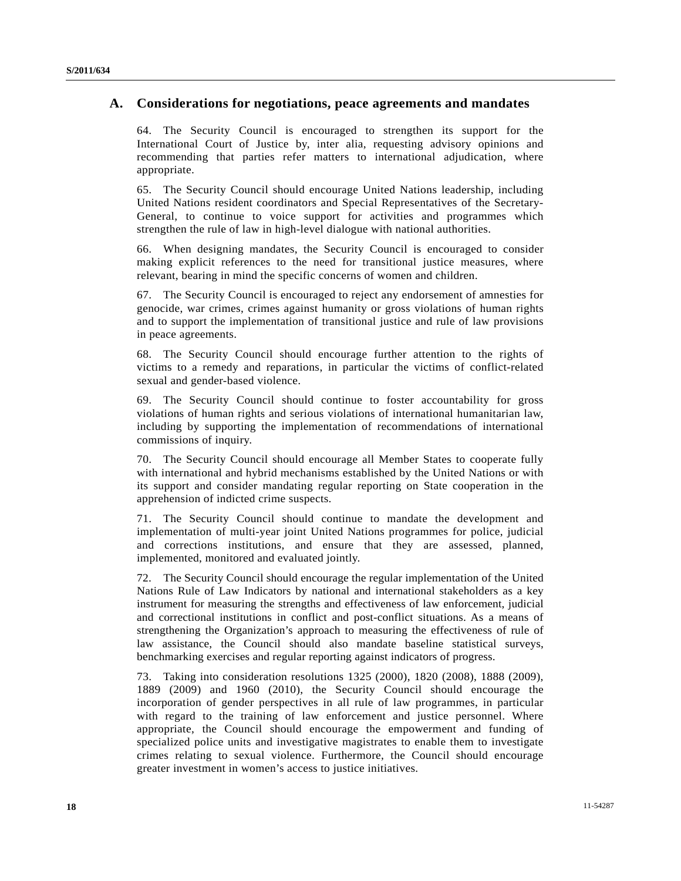#### **A. Considerations for negotiations, peace agreements and mandates**

64. The Security Council is encouraged to strengthen its support for the International Court of Justice by, inter alia, requesting advisory opinions and recommending that parties refer matters to international adjudication, where appropriate.

65. The Security Council should encourage United Nations leadership, including United Nations resident coordinators and Special Representatives of the Secretary-General, to continue to voice support for activities and programmes which strengthen the rule of law in high-level dialogue with national authorities.

66. When designing mandates, the Security Council is encouraged to consider making explicit references to the need for transitional justice measures, where relevant, bearing in mind the specific concerns of women and children.

67. The Security Council is encouraged to reject any endorsement of amnesties for genocide, war crimes, crimes against humanity or gross violations of human rights and to support the implementation of transitional justice and rule of law provisions in peace agreements.

68. The Security Council should encourage further attention to the rights of victims to a remedy and reparations, in particular the victims of conflict-related sexual and gender-based violence.

69. The Security Council should continue to foster accountability for gross violations of human rights and serious violations of international humanitarian law, including by supporting the implementation of recommendations of international commissions of inquiry.

70. The Security Council should encourage all Member States to cooperate fully with international and hybrid mechanisms established by the United Nations or with its support and consider mandating regular reporting on State cooperation in the apprehension of indicted crime suspects.

71. The Security Council should continue to mandate the development and implementation of multi-year joint United Nations programmes for police, judicial and corrections institutions, and ensure that they are assessed, planned, implemented, monitored and evaluated jointly.

72. The Security Council should encourage the regular implementation of the United Nations Rule of Law Indicators by national and international stakeholders as a key instrument for measuring the strengths and effectiveness of law enforcement, judicial and correctional institutions in conflict and post-conflict situations. As a means of strengthening the Organization's approach to measuring the effectiveness of rule of law assistance, the Council should also mandate baseline statistical surveys, benchmarking exercises and regular reporting against indicators of progress.

73. Taking into consideration resolutions 1325 (2000), 1820 (2008), 1888 (2009), 1889 (2009) and 1960 (2010), the Security Council should encourage the incorporation of gender perspectives in all rule of law programmes, in particular with regard to the training of law enforcement and justice personnel. Where appropriate, the Council should encourage the empowerment and funding of specialized police units and investigative magistrates to enable them to investigate crimes relating to sexual violence. Furthermore, the Council should encourage greater investment in women's access to justice initiatives.